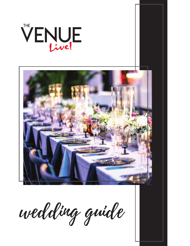# VENUE



wedding guide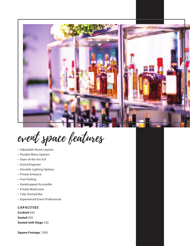

event space features

- Adjustable Room Layouts
- Flexible Menu Options
- State-of-the-Art A/V
- Sound Engineer
- Versatile Lighting Options
- Private Entrance
- Free Parking
- Handicapped Accessible
- Private Washroom
- Fully Stocked Bar
- Experienced Event Professional

## **CAPACITIES**

**Cocktail** 650 **Seated** 350 **Seated with Stage** 320

**Square Footage** 7,000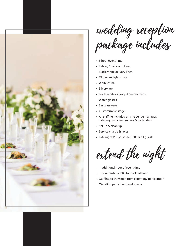

wedding reception package includes

- 5 hour event time
- Tables, Chairs, and Linen
- Black, white or ivory linen
- Dinner and glassware
- White china
- Silverware
- Black, white or ivory dinner napkins
- Water glasses
- Bar glassware
- Customizable stage
- All staffing included on-site venue manager, catering managers, servers & bartenders
- Set up & clean up
- Service charge & taxes
- Late night VIP passes to PBR for all guests

extend the night

- 1 additional hour of event time
- 1 hour rental of PBR for cocktail hour
- Staffing to transition from ceremony to reception
- Wedding party lunch and snacks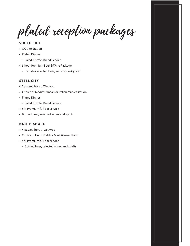plated reception packages

# **SOUTH SIDE**

- Crudite Station
- Plated Dinner
	- Salad, Entrée, Bread Service
- 5 hour Premium Beer & Wine Package
	- Includes selected beer, wine, soda & juices

# **STEEL CITY**

- 2 passed hors d 'Oeuvres
- Choice of Mediterranean or Italian Market station
- Plated Dinner
	- Salad, Entrée, Bread Service
- 5hr Premium full bar service
- Bottled beer, selected wines and spirits

# **NORTH SHORE**

- 4 passed hors d 'Oeuvres
- Choice of Heinz Field or Mini Skewer Station
- 5hr Premium full bar service
	- Bottled beer, selected wines and spirits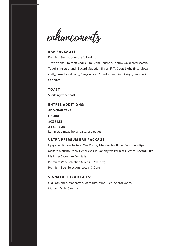enhancements

#### **BAR PACKAGES**

Premium Bar includes the following:

Tito's Vodka, Smirnoff Vodka, Jim Beam Bourbon, Johnny walker red scotch, Tequila (Insert brand), Bacardi Superior, {Insert IPA}, Coors Light, {Insert local craft}, {Insert local craft}, Canyon Road Chardonnay, Pinot Grigio, Pinot Noir, Cabernet

**TOAST** Sparkling wine toast

# **ENTRÉE ADDITIONS: ADD CRAB CAKE HALIBUT 8OZ FILET**

**A LA OSCAR**  Lump crab meat, hollandaise, asparagus

# **ULTRA PREMIUM BAR PACKAGE**

Upgraded liquors to Ketel One Vodka, Tito's Vodka, Bullet Bourbon & Rye, Maker's Mark Bourbon, Hendricks Gin, Johnny Walker Black Scotch, Bacardi Rum. His & Her Signature Cocktails Premium Wine selection (2 reds & 2 whites) Premium Beer Selection (Locals & Crafts)

#### **SIGNATURE COCKTAILS:**

Old Fashioned, Manhattan, Margarita, Mint Julep, Aperol Spritz, Moscow Mule, Sangria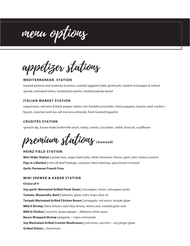menu options

appetizer stations

#### **MEDITERRANEAN STATION**

toasted pinenut and rosemary hummus, roasted eggplant baba ghanoush, roasted red pepper & walnut spread, marinated olives, toasted pita points, smoked paprika lavash

#### **ITALIAN MARKET STATION**

soppressata, red wine & black pepper salami, San Daniella prosciutto, cherry peppers, sesame seed crackers, fig jam, rosemary and sea salt marcona almonds, fresh toasted baguette

# **CRUDITÉS STATION**

spinach dip, house made buttermilk ranch, celery, carrots, cucumber, radish, broccoli, cauliflower

premium stations **(manned)**

#### **HEINZ FIELD STATION**

**Mini Slider Station |** potato bun, angus beef patty, white American cheese, garlic aioli, tobacco onions **Pigs in a Blanket |** mini all beef hotdogs, croissant, Heinz ketchup, spicy brown mustard **Garlic Parmesan French Fries** 

#### **MINI SKEWER & KABAB STATION**

**Choice of 4 Soy-garlic Marinated Grilled Flank Steak |** red pepper, onion, red pepper pesto **Tomato, Mozzarella, Basil |** balsamic glaze, extra virgin olive oil **Teriyaki Marinated Grilled Chicken Breast |** pineapple, red onion, teriyaki glaze **BBQ'd Shrimp |** New Orleans style bbq shrimp, lemon zest, roasted garlic aioli **BBQ'd Chicken |** zucchini, green pepper – Alabama white sauce **Bacon Wrapped Shrimp |** jalapeño – Cajun remoulade **Soy Marinated Grilled Cremini Mushrooms |** red onion, zucchini – soy-ginger glaze **Grilled Sirloin |** chimichurri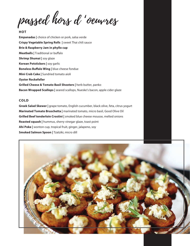passed hors d 'oeuvres

#### **HOT**

**Empanadas |** choice of chicken or pork, salsa verde **Crispy Vegetable Spring Rolls |** sweet Thai chili sauce **Brie & Raspberry Jam in phyllo cup Meatballs** | Traditional or buffalo **Shrimp Shumai |** soy glaze **Korean Potstickers |** soy garlic **Boneless Buffalo Wing | blue cheese fondue Mini Crab Cake |** Sundried tomato aioli **Oyster Rockefeller Grilled Cheese & Tomato Basil Shooters |** herb butter, panko **Bacon Wrapped Scallops |** seared scallops, Nueske's bacon, apple cider glaze

#### **COLD**

**Greek Salad Skewer |** grape tomato, English cucumber, black olive, feta, citrus yogurt **Marinated Tomato Bruschetta |** marinated tomato, micro basil, Good Olive Oil **Grilled Beef tenderloin Crostini |** smoked blue cheese mousse, melted onions **Roasted squash |** hummus, sherry vinegar glaze, toast point **Ahi Poke |** wonton cup, tropical fruit, ginger, jalapeno, soy **Smoked Salmon Spoon |** Tzatziki, micro dill

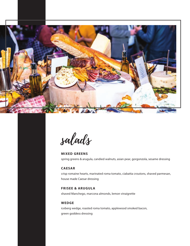

salads

**MIXED GREENS** spring greens & arugula, candied walnuts, asian pear, gorgonzola, sesame dressing

# **CAESAR**

crisp romaine hearts, marinated roma tomato, ciabatta croutons, shaved parmesan, house made Caesar dressing

# **FRISEE & ARUGULA**

shaved Manchego, marcona almonds, lemon vinaigrette

# **WEDGE**

iceberg wedge, roasted roma tomato, applewood smoked bacon, green goddess dressing